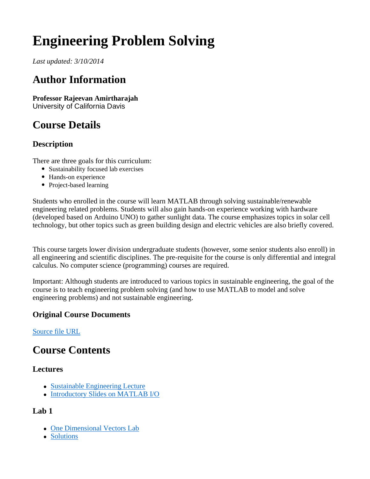# **Engineering Problem Solving**

*Last updated: 3/10/2014*

## **Author Information**

**Professor Rajeevan Amirtharajah** University of California Davis

# **Course Details**

#### **Description**

There are three goals for this curriculum:

- Sustainability focused lab exercises
- Hands-on experience
- Project-based learning

Students who enrolled in the course will learn MATLAB through solving sustainable/renewable engineering related problems. Students will also gain hands-on experience working with hardware (developed based on Arduino UNO) to gather sunlight data. The course emphasizes topics in solar cell technology, but other topics such as green building design and electric vehicles are also briefly covered.

This course targets lower division undergraduate students (however, some senior students also enroll) in all engineering and scientific disciplines. The pre-requisite for the course is only differential and integral calculus. No computer science (programming) courses are required.

Important: Although students are introduced to various topics in sustainable engineering, the goal of the course is to teach engineering problem solving (and how to use MATLAB to model and solve engineering problems) and not sustainable engineering.

#### **Original Course Documents**

Source file URL

### **Course Contents**

#### **Lectures**

- Sustainable Engineering Lecture
- Introductory Slides on MATLAB I/O

#### **Lab 1**

- One Dimensional Vectors Lab
- Solutions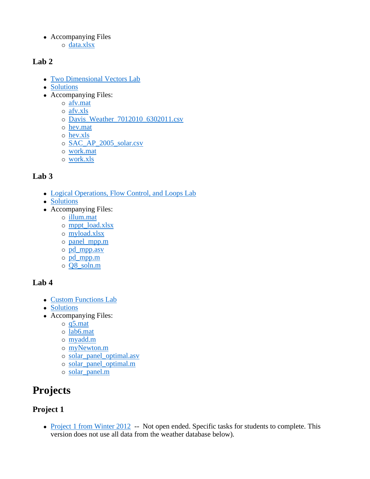• Accompanying Files o data.xlsx

#### **Lab 2**

- Two Dimensional Vectors Lab
- Solutions
- Accompanying Files:
	- afv.mat
	- afv.xls
	- o Davis\_Weather\_7012010\_6302011.csv
	- hev.mat
	- hev.xls
	- SAC\_AP\_2005\_solar.csv
	- work.mat
	- work.xls

#### **Lab 3**

- Logical Operations, Flow Control, and Loops Lab
- Solutions
- Accompanying Files:
	- illum.mat
	- mppt\_load.xlsx
	- myload.xlsx
	- panel\_mpp.m
	- pd\_mpp.asv
	- pd\_mpp.m
	- Q8\_soln.m

#### **Lab 4**

- Custom Functions Lab
- Solutions
- Accompanying Files:
	- $\circ$  q5.mat
	- lab6.mat
	- myadd.m
	- myNewton.m
	- solar\_panel\_optimal.asv
	- solar\_panel\_optimal.m
	- solar\_panel.m

# **Projects**

#### **Project 1**

• Project 1 from Winter 2012 -- Not open ended. Specific tasks for students to complete. This version does not use all data from the weather database below).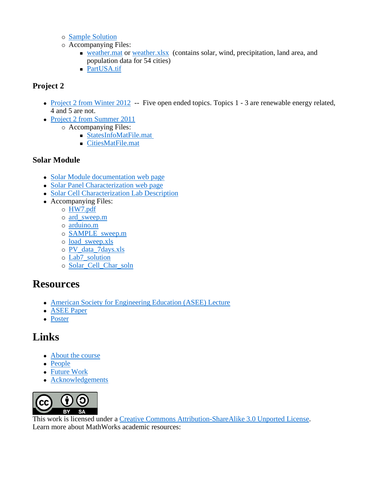- Sample Solution
- Accompanying Files:
	- **Example 1** weather.mat or weather.xlsx (contains solar, wind, precipitation, land area, and population data for 54 cities)
	- PartUSA.tif

#### **Project 2**

- Project 2 from Winter 2012 -- Five open ended topics. Topics 1 3 are renewable energy related, 4 and 5 are not.
- Project 2 from Summer 2011
	- Accompanying Files:
		- StatesInfoMatFile.mat
		- CitiesMatFile.mat

#### **Solar Module**

- Solar Module documentation web page
- Solar Panel Characterization web page
- Solar Cell Characterization Lab Description
- Accompanying Files:
	- HW7.pdf
	- ard\_sweep.m
	- arduino.m
	- SAMPLE\_sweep.m
	- load\_sweep.xls
	- PV\_data\_7days.xls
	- Lab7\_solution
	- Solar\_Cell\_Char\_soln

### **Resources**

- American Society for Engineering Education (ASEE) Lecture
- ASEE Paper
- Poster

### **Links**

- About the course
- People
- Future Work
- Acknowledgements



This work is licensed under a Creative Commons Attribution-ShareAlike 3.0 Unported License. Learn more about MathWorks academic resources: